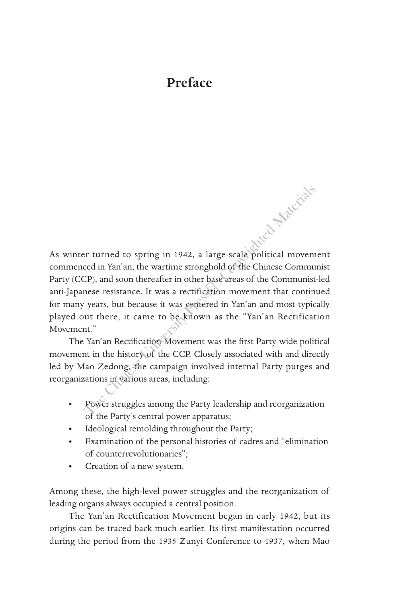## **Preface**

As winter turned to spring in 1942, a large-scale political movement commenced in Yan'an, the wartime stronghold of the Chinese Communist Party (CCP), and soon thereafter in other base areas of the Communist-led anti-Japanese resistance. It was a rectification movement that continued for many years, but because it was centered in Yan'an and most typically played out there, it came to be known as the "Yan'an Rectification Movement." Example 19 and the Darty's central power appears of the Darty's central power of the Chinese Communisty and soon thereafter in other base areas of the Communisty Press Constant (Deptember) where the value of the Materials

The Yan'an Rectification Movement was the first Party-wide political movement in the history of the CCP. Closely associated with and directly led by Mao Zedong, the campaign involved internal Party purges and reorganizations in various areas, including:

- Power struggles among the Party leadership and reorganization of the Party's central power apparatus;
- Ideological remolding throughout the Party;
- Examination of the personal histories of cadres and "elimination of counterrevolutionaries";
- Creation of a new system.

Among these, the high-level power struggles and the reorganization of leading organs always occupied a central position.

The Yan'an Rectification Movement began in early 1942, but its origins can be traced back much earlier. Its first manifestation occurred during the period from the 1935 Zunyi Conference to 1937, when Mao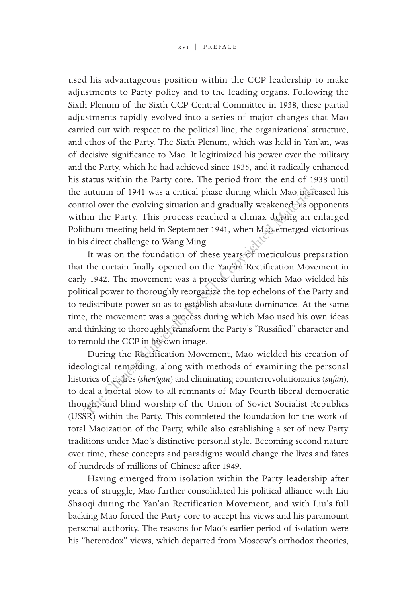used his advantageous position within the CCP leadership to make adjustments to Party policy and to the leading organs. Following the Sixth Plenum of the Sixth CCP Central Committee in 1938, these partial adjustments rapidly evolved into a series of major changes that Mao carried out with respect to the political line, the organizational structure, and ethos of the Party. The Sixth Plenum, which was held in Yan'an, was of decisive significance to Mao. It legitimized his power over the military and the Party, which he had achieved since 1935, and it radically enhanced his status within the Party core. The period from the end of 1938 until the autumn of 1941 was a critical phase during which Mao increased his control over the evolving situation and gradually weakened his opponents within the Party. This process reached a climax during an enlarged Politburo meeting held in September 1941, when Mao emerged victorious in his direct challenge to Wang Ming.

It was on the foundation of these years of meticulous preparation that the curtain finally opened on the Yan'an Rectification Movement in early 1942. The movement was a process during which Mao wielded his political power to thoroughly reorganize the top echelons of the Party and to redistribute power so as to establish absolute dominance. At the same time, the movement was a process during which Mao used his own ideas and thinking to thoroughly transform the Party's "Russified" character and to remold the CCP in his own image. autumn of 1941 was a critical phase during which Mao increase trol over the evolving situation and gradually weakened his optimal transferred a climax during an ethuro meeting held in September 1941, when Mao emerged v is

During the Rectification Movement, Mao wielded his creation of ideological remolding, along with methods of examining the personal histories of cadres (*shen'gan*) and eliminating counterrevolutionaries (*sufan*), to deal a mortal blow to all remnants of May Fourth liberal democratic thought and blind worship of the Union of Soviet Socialist Republics (USSR) within the Party. This completed the foundation for the work of total Maoization of the Party, while also establishing a set of new Party traditions under Mao's distinctive personal style. Becoming second nature over time, these concepts and paradigms would change the lives and fates of hundreds of millions of Chinese after 1949.

Having emerged from isolation within the Party leadership after years of struggle, Mao further consolidated his political alliance with Liu Shaoqi during the Yan'an Rectification Movement, and with Liu's full backing Mao forced the Party core to accept his views and his paramount personal authority. The reasons for Mao's earlier period of isolation were his "heterodox" views, which departed from Moscow's orthodox theories,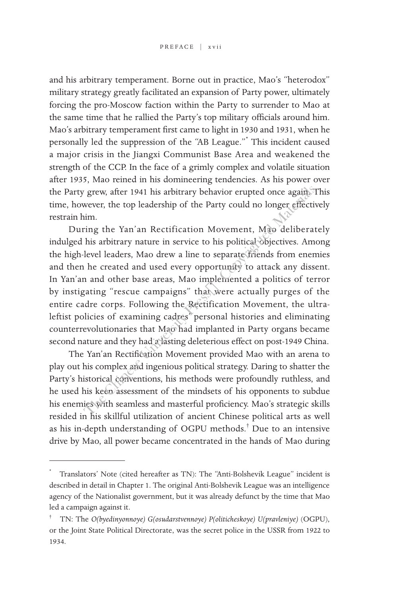and his arbitrary temperament. Borne out in practice, Mao's "heterodox" military strategy greatly facilitated an expansion of Party power, ultimately forcing the pro-Moscow faction within the Party to surrender to Mao at the same time that he rallied the Party's top military officials around him. Mao's arbitrary temperament first came to light in 1930 and 1931, when he personally led the suppression of the "AB League."\* This incident caused a major crisis in the Jiangxi Communist Base Area and weakened the strength of the CCP. In the face of a grimly complex and volatile situation after 1935, Mao reined in his domineering tendencies. As his power over the Party grew, after 1941 his arbitrary behavior erupted once again. This time, however, the top leadership of the Party could no longer effectively restrain him.

During the Yan'an Rectification Movement, Mao deliberately indulged his arbitrary nature in service to his political objectives. Among the high-level leaders, Mao drew a line to separate friends from enemies and then he created and used every opportunity to attack any dissent. In Yan'an and other base areas, Mao implemented a politics of terror by instigating "rescue campaigns" that were actually purges of the entire cadre corps. Following the Rectification Movement, the ultraleftist policies of examining cadres' personal histories and eliminating counterrevolutionaries that Mao had implanted in Party organs became second nature and they had a lasting deleterious effect on post-1949 China. r grew, after 1941 his arbitrary behavior erupted once agains.<br>
Wever, the top leadership of the Party could no longer effectively.<br>
Inm.<br>
Tring the Yan'an Rectification Movement, Mao deliberat<br>
his arbitrary nature in ser

The Yan'an Rectification Movement provided Mao with an arena to play out his complex and ingenious political strategy. Daring to shatter the Party's historical conventions, his methods were profoundly ruthless, and he used his keen assessment of the mindsets of his opponents to subdue his enemies with seamless and masterful proficiency. Mao's strategic skills resided in his skillful utilization of ancient Chinese political arts as well as his in-depth understanding of OGPU methods.† Due to an intensive drive by Mao, all power became concentrated in the hands of Mao during

<sup>\*</sup> Translators' Note (cited hereafter as TN): The "Anti-Bolshevik League" incident is described in detail in Chapter 1. The original Anti-Bolshevik League was an intelligence agency of the Nationalist government, but it was already defunct by the time that Mao led a campaign against it.

<sup>†</sup> TN: The *O(byedinyonnoye) G(osudarstvennoye) P(oliticheskoye) U(pravleniye)* (OGPU), or the Joint State Political Directorate, was the secret police in the USSR from 1922 to 1934.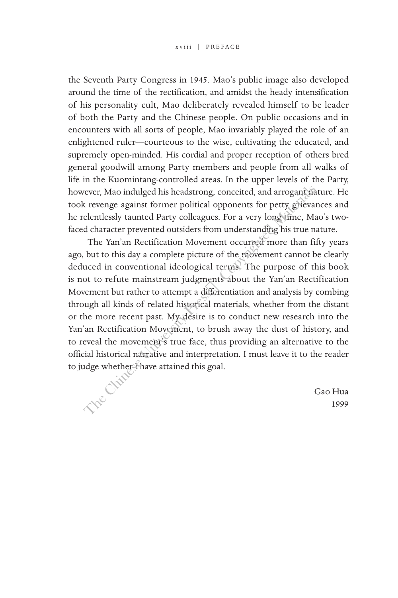the Seventh Party Congress in 1945. Mao's public image also developed around the time of the rectification, and amidst the heady intensification of his personality cult, Mao deliberately revealed himself to be leader of both the Party and the Chinese people. On public occasions and in encounters with all sorts of people, Mao invariably played the role of an enlightened ruler—courteous to the wise, cultivating the educated, and supremely open-minded. His cordial and proper reception of others bred general goodwill among Party members and people from all walks of life in the Kuomintang-controlled areas. In the upper levels of the Party, however, Mao indulged his headstrong, conceited, and arrogant nature. He took revenge against former political opponents for petty grievances and he relentlessly taunted Party colleagues. For a very long time, Mao's twofaced character prevented outsiders from understanding his true nature.

The Yan'an Rectification Movement occurred more than fifty years ago, but to this day a complete picture of the movement cannot be clearly deduced in conventional ideological terms. The purpose of this book is not to refute mainstream judgments about the Yan'an Rectification Movement but rather to attempt a differentiation and analysis by combing through all kinds of related historical materials, whether from the distant or the more recent past. My desire is to conduct new research into the Yan'an Rectification Movement, to brush away the dust of history, and to reveal the movement's true face, thus providing an alternative to the official historical narrative and interpretation. I must leave it to the reader to judge whether I have attained this goal. rever, Mao indulged his headstrong, conceited, and arrogant has revenge against former political opponents for petty grievare elentlessly taunted Party colleagues. For a very long time, M. d character prevented outsiders f

Gao Hua 1999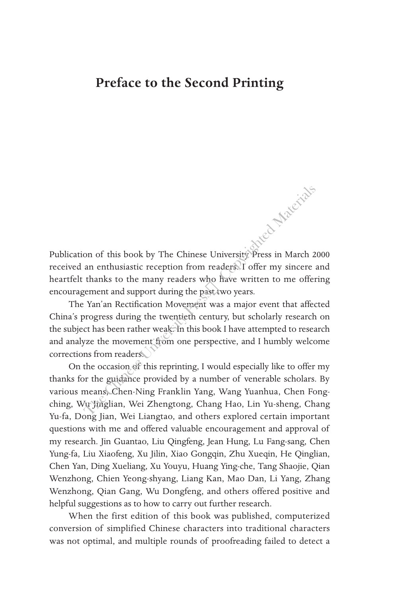## **Preface to the Second Printing**

Publication of this book by The Chinese University Press in March 2000 received an enthusiastic reception from readers. I offer my sincere and heartfelt thanks to the many readers who have written to me offering encouragement and support during the past two years.

The Yan'an Rectification Movement was a major event that affected China's progress during the twentieth century, but scholarly research on the subject has been rather weak. In this book I have attempted to research and analyze the movement from one perspective, and I humbly welcome corrections from readers. on of this book by The Chinese University Press in March 2<br>an enthusiastic reception from readers T offer my sincere<br>thanks to the many readers who have written to me offer<br>gement and support during the past two years.<br>Yan

On the occasion of this reprinting, I would especially like to offer my thanks for the guidance provided by a number of venerable scholars. By various means, Chen-Ning Franklin Yang, Wang Yuanhua, Chen Fongching, Wu Jinglian, Wei Zhengtong, Chang Hao, Lin Yu-sheng, Chang Yu-fa, Dong Jian, Wei Liangtao, and others explored certain important questions with me and offered valuable encouragement and approval of my research. Jin Guantao, Liu Qingfeng, Jean Hung, Lu Fang-sang, Chen Yung-fa, Liu Xiaofeng, Xu Jilin, Xiao Gongqin, Zhu Xueqin, He Qinglian, Chen Yan, Ding Xueliang, Xu Youyu, Huang Ying-che, Tang Shaojie, Qian Wenzhong, Chien Yeong-shyang, Liang Kan, Mao Dan, Li Yang, Zhang Wenzhong, Qian Gang, Wu Dongfeng, and others offered positive and helpful suggestions as to how to carry out further research.

When the first edition of this book was published, computerized conversion of simplified Chinese characters into traditional characters was not optimal, and multiple rounds of proofreading failed to detect a